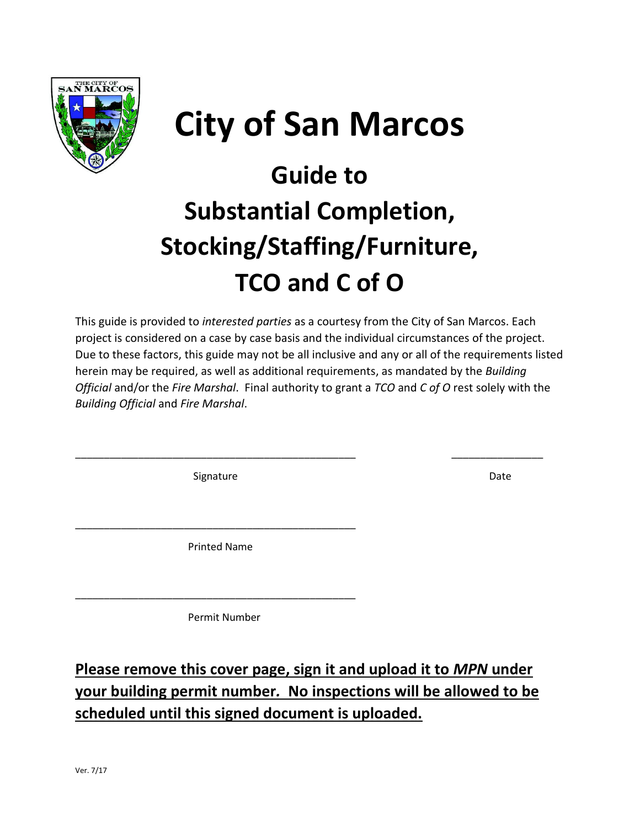

# **City of San Marcos**

## **Guide to Substantial Completion, Stocking/Staffing/Furniture, TCO and C of O**

This guide is provided to *interested parties* as a courtesy from the City of San Marcos. Each project is considered on a case by case basis and the individual circumstances of the project. Due to these factors, this guide may not be all inclusive and any or all of the requirements listed herein may be required, as well as additional requirements, as mandated by the *Building Official* and/or the *Fire Marshal*. Final authority to grant a *TCO* and *C of O* rest solely with the *Building Official* and *Fire Marshal*.

\_\_\_\_\_\_\_\_\_\_\_\_\_\_\_\_\_\_\_\_\_\_\_\_\_\_\_\_\_\_\_\_\_\_\_\_\_\_\_\_\_\_\_\_\_\_\_\_\_ \_\_\_\_\_\_\_\_\_\_\_\_\_\_\_\_

Signature Date Date Date

Printed Name

\_\_\_\_\_\_\_\_\_\_\_\_\_\_\_\_\_\_\_\_\_\_\_\_\_\_\_\_\_\_\_\_\_\_\_\_\_\_\_\_\_\_\_\_\_\_\_\_\_

\_\_\_\_\_\_\_\_\_\_\_\_\_\_\_\_\_\_\_\_\_\_\_\_\_\_\_\_\_\_\_\_\_\_\_\_\_\_\_\_\_\_\_\_\_\_\_\_\_

Permit Number

## **Please remove this cover page, sign it and upload it to** *MPN* **under your building permit number***.* **No inspections will be allowed to be scheduled until this signed document is uploaded.**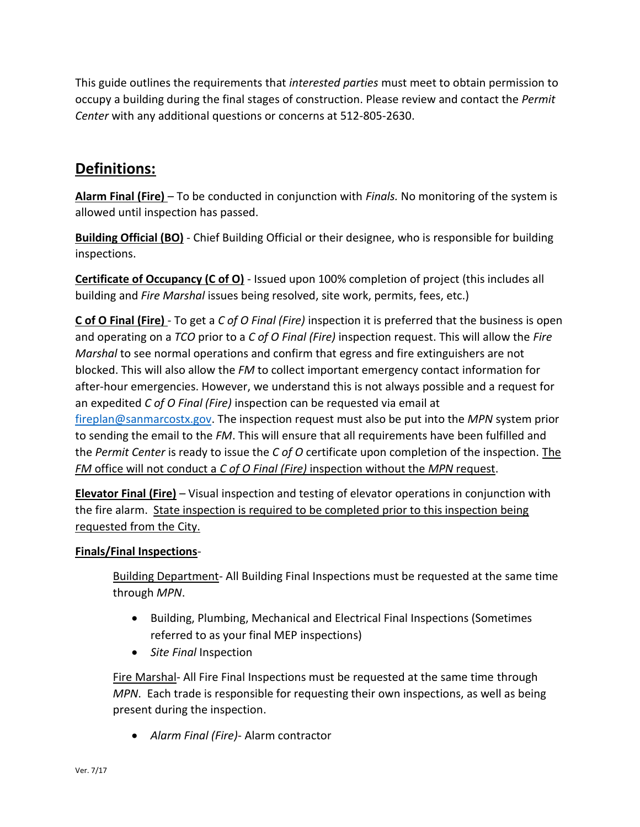This guide outlines the requirements that *interested parties* must meet to obtain permission to occupy a building during the final stages of construction. Please review and contact the *Permit Center* with any additional questions or concerns at 512-805-2630.

## **Definitions:**

**Alarm Final (Fire)** – To be conducted in conjunction with *Finals.* No monitoring of the system is allowed until inspection has passed.

**Building Official (BO)** - Chief Building Official or their designee, who is responsible for building inspections.

**Certificate of Occupancy (C of O)** - Issued upon 100% completion of project (this includes all building and *Fire Marshal* issues being resolved, site work, permits, fees, etc.)

**C of O Final (Fire)** - To get a *C of O Final (Fire)* inspection it is preferred that the business is open and operating on a *TCO* prior to a *C of O Final (Fire)* inspection request. This will allow the *Fire Marshal* to see normal operations and confirm that egress and fire extinguishers are not blocked. This will also allow the *FM* to collect important emergency contact information for after-hour emergencies. However, we understand this is not always possible and a request for an expedited *C of O Final (Fire)* inspection can be requested via email at [fireplan@sanmarcostx.gov.](mailto:fireplan@sanmarcostx.gov) The inspection request must also be put into the *MPN* system prior to sending the email to the *FM*. This will ensure that all requirements have been fulfilled and the *Permit Center* is ready to issue the *C of O* certificate upon completion of the inspection. The *FM* office will not conduct a *C of O Final (Fire)* inspection without the *MPN* request.

**Elevator Final (Fire)** – Visual inspection and testing of elevator operations in conjunction with the fire alarm. State inspection is required to be completed prior to this inspection being requested from the City.

### **Finals/Final Inspections**-

Building Department- All Building Final Inspections must be requested at the same time through *MPN*.

- Building, Plumbing, Mechanical and Electrical Final Inspections (Sometimes referred to as your final MEP inspections)
- Site Final Inspection

Fire Marshal- All Fire Final Inspections must be requested at the same time through *MPN*. Each trade is responsible for requesting their own inspections, as well as being present during the inspection.

*Alarm Final (Fire)*- Alarm contractor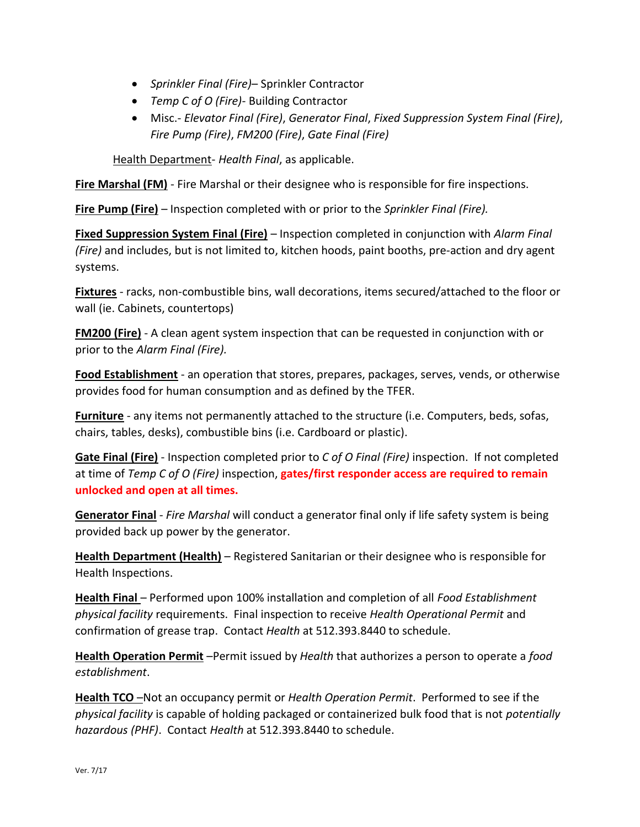- *Sprinkler Final (Fire)* Sprinkler Contractor
- *Temp C of O (Fire)* Building Contractor
- Misc.- *Elevator Final (Fire)*, *Generator Final*, *Fixed Suppression System Final (Fire)*, *Fire Pump (Fire)*, *FM200 (Fire)*, *Gate Final (Fire)*

Health Department- *Health Final*, as applicable.

**Fire Marshal (FM)** - Fire Marshal or their designee who is responsible for fire inspections.

**Fire Pump (Fire)** – Inspection completed with or prior to the *Sprinkler Final (Fire).*

**Fixed Suppression System Final (Fire)** – Inspection completed in conjunction with *Alarm Final (Fire)* and includes, but is not limited to, kitchen hoods, paint booths, pre-action and dry agent systems.

**Fixtures** - racks, non-combustible bins, wall decorations, items secured/attached to the floor or wall (ie. Cabinets, countertops)

**FM200 (Fire)** - A clean agent system inspection that can be requested in conjunction with or prior to the *Alarm Final (Fire).*

**Food Establishment** - an operation that stores, prepares, packages, serves, vends, or otherwise provides food for human consumption and as defined by the TFER.

**Furniture** - any items not permanently attached to the structure (i.e. Computers, beds, sofas, chairs, tables, desks), combustible bins (i.e. Cardboard or plastic).

**Gate Final (Fire)** - Inspection completed prior to *C of O Final (Fire)* inspection. If not completed at time of *Temp C of O (Fire)* inspection, **gates/first responder access are required to remain unlocked and open at all times.** 

**Generator Final** - *Fire Marshal* will conduct a generator final only if life safety system is being provided back up power by the generator.

**Health Department (Health)** – Registered Sanitarian or their designee who is responsible for Health Inspections.

**Health Final** – Performed upon 100% installation and completion of all *Food Establishment physical facility* requirements. Final inspection to receive *Health Operational Permit* and confirmation of grease trap. Contact *Health* at 512.393.8440 to schedule.

**Health Operation Permit** –Permit issued by *Health* that authorizes a person to operate a *food establishment*.

**Health TCO** –Not an occupancy permit or *Health Operation Permit*. Performed to see if the *physical facility* is capable of holding packaged or containerized bulk food that is not *potentially hazardous (PHF)*. Contact *Health* at 512.393.8440 to schedule.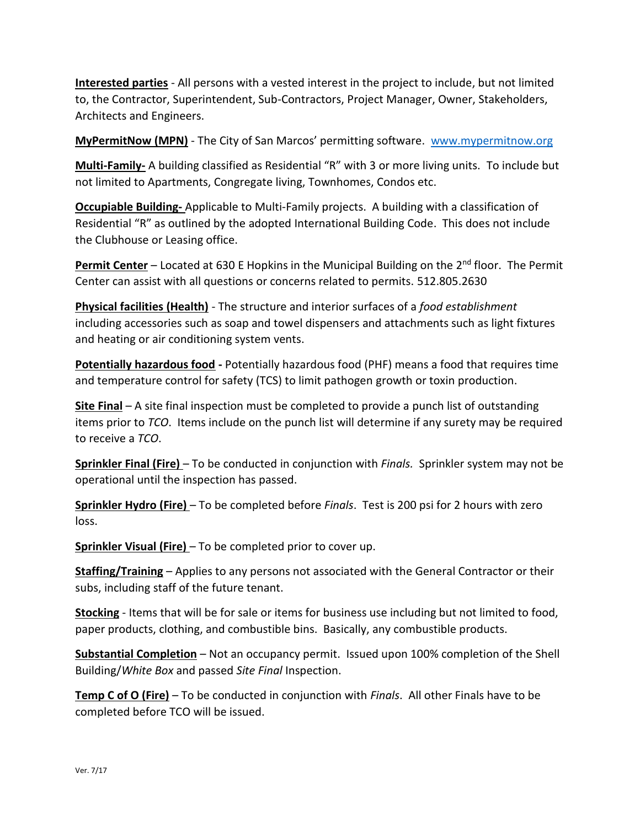**Interested parties** - All persons with a vested interest in the project to include, but not limited to, the Contractor, Superintendent, Sub-Contractors, Project Manager, Owner, Stakeholders, Architects and Engineers.

**MyPermitNow (MPN)** - The City of San Marcos' permitting software. [www.mypermitnow.org](http://www.mypermitnow.org/)

**Multi-Family-** A building classified as Residential "R" with 3 or more living units. To include but not limited to Apartments, Congregate living, Townhomes, Condos etc.

**Occupiable Building-** Applicable to Multi-Family projects. A building with a classification of Residential "R" as outlined by the adopted International Building Code. This does not include the Clubhouse or Leasing office.

**Permit Center** – Located at 630 E Hopkins in the Municipal Building on the 2<sup>nd</sup> floor. The Permit Center can assist with all questions or concerns related to permits. 512.805.2630

**Physical facilities (Health)** - The structure and interior surfaces of a *food establishment* including accessories such as soap and towel dispensers and attachments such as light fixtures and heating or air conditioning system vents.

**Potentially hazardous food -** Potentially hazardous food (PHF) means a food that requires time and temperature control for safety (TCS) to limit pathogen growth or toxin production.

**Site Final** – A site final inspection must be completed to provide a punch list of outstanding items prior to *TCO*. Items include on the punch list will determine if any surety may be required to receive a *TCO*.

**Sprinkler Final (Fire)** – To be conducted in conjunction with *Finals.* Sprinkler system may not be operational until the inspection has passed.

**Sprinkler Hydro (Fire)** – To be completed before *Finals*. Test is 200 psi for 2 hours with zero loss.

**Sprinkler Visual (Fire)** – To be completed prior to cover up.

**Staffing/Training** – Applies to any persons not associated with the General Contractor or their subs, including staff of the future tenant.

**Stocking** - Items that will be for sale or items for business use including but not limited to food, paper products, clothing, and combustible bins. Basically, any combustible products.

**Substantial Completion** – Not an occupancy permit. Issued upon 100% completion of the Shell Building/*White Box* and passed *Site Final* Inspection.

**Temp C of O (Fire)** – To be conducted in conjunction with *Finals*. All other Finals have to be completed before TCO will be issued.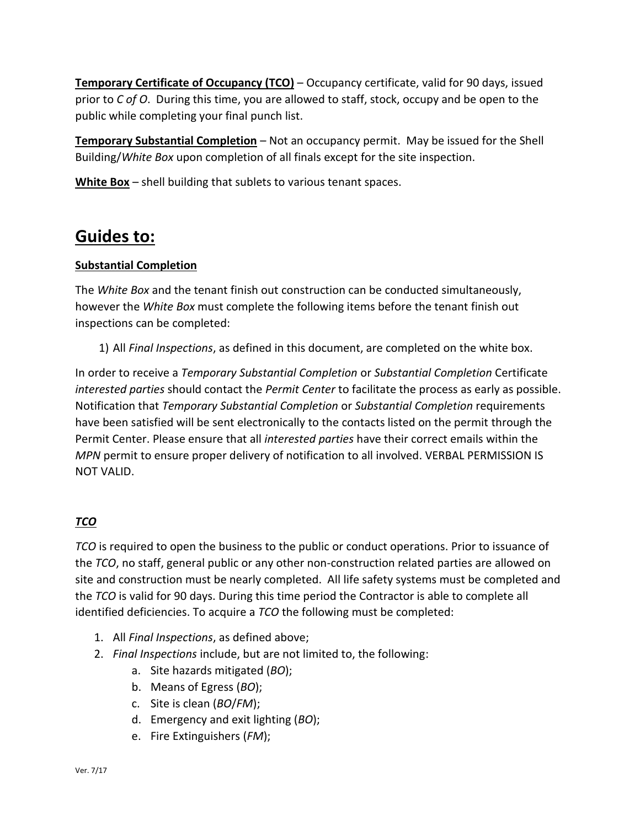**Temporary Certificate of Occupancy (TCO)** – Occupancy certificate, valid for 90 days, issued prior to *C of O*. During this time, you are allowed to staff, stock, occupy and be open to the public while completing your final punch list.

**Temporary Substantial Completion** – Not an occupancy permit. May be issued for the Shell Building/*White Box* upon completion of all finals except for the site inspection.

**White Box** – shell building that sublets to various tenant spaces.

## **Guides to:**

#### **Substantial Completion**

The *White Box* and the tenant finish out construction can be conducted simultaneously, however the *White Box* must complete the following items before the tenant finish out inspections can be completed:

1) All *Final Inspections*, as defined in this document, are completed on the white box.

In order to receive a *Temporary Substantial Completion* or *Substantial Completion* Certificate *interested parties* should contact the *Permit Center* to facilitate the process as early as possible. Notification that *Temporary Substantial Completion* or *Substantial Completion* requirements have been satisfied will be sent electronically to the contacts listed on the permit through the Permit Center. Please ensure that all *interested parties* have their correct emails within the *MPN* permit to ensure proper delivery of notification to all involved. VERBAL PERMISSION IS NOT VALID.

### *TCO*

*TCO* is required to open the business to the public or conduct operations. Prior to issuance of the *TCO*, no staff, general public or any other non-construction related parties are allowed on site and construction must be nearly completed. All life safety systems must be completed and the *TCO* is valid for 90 days. During this time period the Contractor is able to complete all identified deficiencies. To acquire a *TCO* the following must be completed:

- 1. All *Final Inspections*, as defined above;
- 2. *Final Inspections* include, but are not limited to, the following:
	- a. Site hazards mitigated (*BO*);
	- b. Means of Egress (*BO*);
	- c. Site is clean (*BO*/*FM*);
	- d. Emergency and exit lighting (*BO*);
	- e. Fire Extinguishers (*FM*);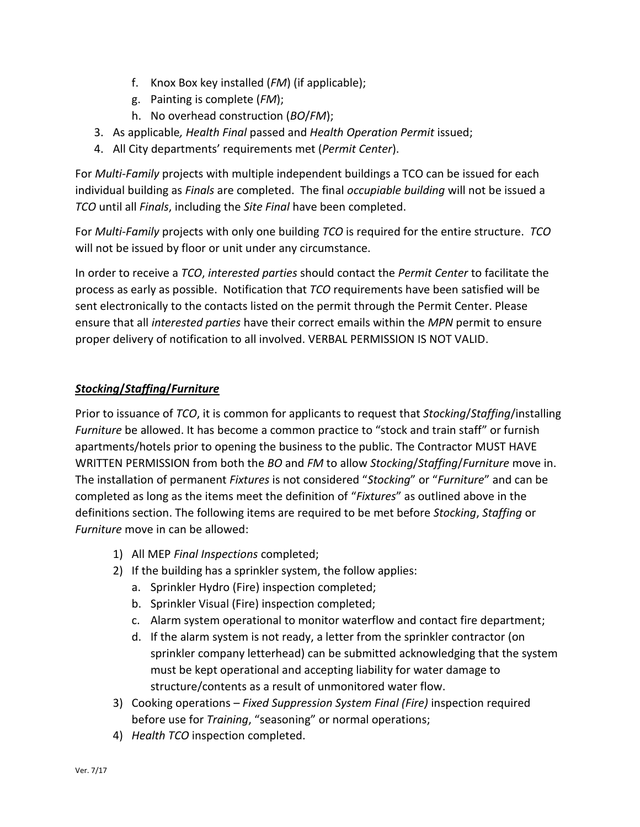- f. Knox Box key installed (*FM*) (if applicable);
- g. Painting is complete (*FM*);
- h. No overhead construction (*BO*/*FM*);
- 3. As applicable*, Health Final* passed and *Health Operation Permit* issued;
- 4. All City departments' requirements met (*Permit Center*).

For *Multi-Family* projects with multiple independent buildings a TCO can be issued for each individual building as *Finals* are completed. The final *occupiable building* will not be issued a *TCO* until all *Finals*, including the *Site Final* have been completed.

For *Multi-Family* projects with only one building *TCO* is required for the entire structure. *TCO* will not be issued by floor or unit under any circumstance.

In order to receive a *TCO*, *interested parties* should contact the *Permit Center* to facilitate the process as early as possible. Notification that *TCO* requirements have been satisfied will be sent electronically to the contacts listed on the permit through the Permit Center. Please ensure that all *interested parties* have their correct emails within the *MPN* permit to ensure proper delivery of notification to all involved. VERBAL PERMISSION IS NOT VALID.

#### *Stocking***/***Staffing***/***Furniture*

Prior to issuance of *TCO*, it is common for applicants to request that *Stocking*/*Staffing*/installing *Furniture* be allowed. It has become a common practice to "stock and train staff" or furnish apartments/hotels prior to opening the business to the public. The Contractor MUST HAVE WRITTEN PERMISSION from both the *BO* and *FM* to allow *Stocking*/*Staffing*/*Furniture* move in. The installation of permanent *Fixtures* is not considered "*Stocking*" or "*Furniture*" and can be completed as long as the items meet the definition of "*Fixtures*" as outlined above in the definitions section. The following items are required to be met before *Stocking*, *Staffing* or *Furniture* move in can be allowed:

- 1) All MEP *Final Inspections* completed;
- 2) If the building has a sprinkler system, the follow applies:
	- a. Sprinkler Hydro (Fire) inspection completed;
	- b. Sprinkler Visual (Fire) inspection completed;
	- c. Alarm system operational to monitor waterflow and contact fire department;
	- d. If the alarm system is not ready, a letter from the sprinkler contractor (on sprinkler company letterhead) can be submitted acknowledging that the system must be kept operational and accepting liability for water damage to structure/contents as a result of unmonitored water flow.
- 3) Cooking operations *Fixed Suppression System Final (Fire)* inspection required before use for *Training*, "seasoning" or normal operations;
- 4) *Health TCO* inspection completed.